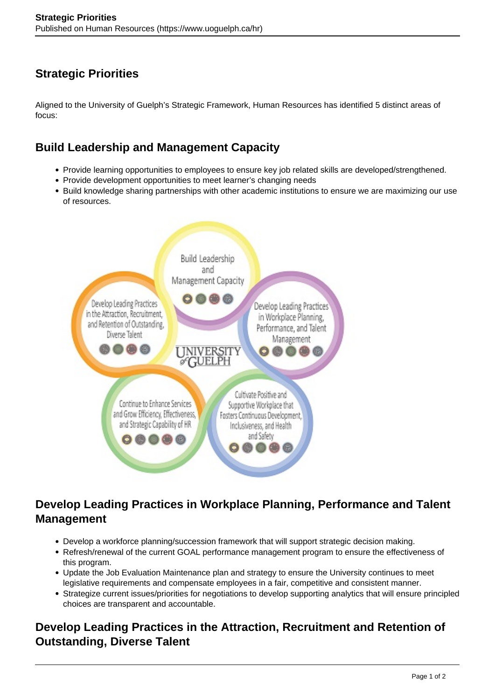# **Strategic Priorities**

Aligned to the University of Guelph's Strategic Framework, Human Resources has identified 5 distinct areas of focus:

### **Build Leadership and Management Capacity**

- Provide learning opportunities to employees to ensure key job related skills are developed/strengthened.
- Provide development opportunities to meet learner's changing needs
- Build knowledge sharing partnerships with other academic institutions to ensure we are maximizing our use of resources.



## **Develop Leading Practices in Workplace Planning, Performance and Talent Management**

- Develop a workforce planning/succession framework that will support strategic decision making.
- Refresh/renewal of the current GOAL performance management program to ensure the effectiveness of this program.
- Update the Job Evaluation Maintenance plan and strategy to ensure the University continues to meet legislative requirements and compensate employees in a fair, competitive and consistent manner.
- Strategize current issues/priorities for negotiations to develop supporting analytics that will ensure principled choices are transparent and accountable.

### **Develop Leading Practices in the Attraction, Recruitment and Retention of Outstanding, Diverse Talent**